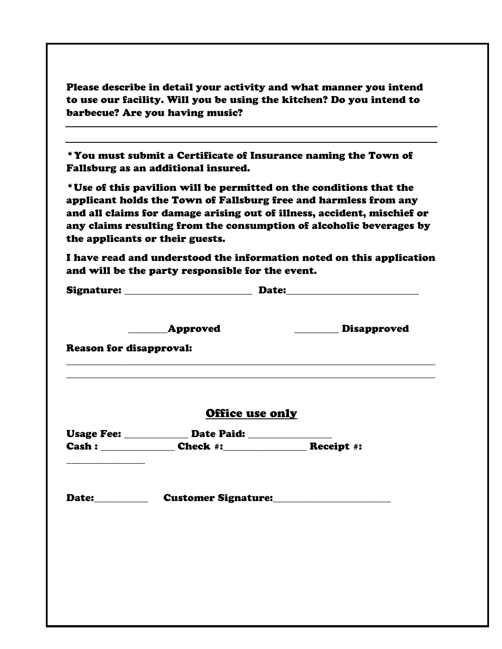|                                | barbecue? Are you having music?                                                  |                                                                                                                                                                                                                                                                                          |  |
|--------------------------------|----------------------------------------------------------------------------------|------------------------------------------------------------------------------------------------------------------------------------------------------------------------------------------------------------------------------------------------------------------------------------------|--|
|                                | Fallsburg as an additional insured.                                              | * You must submit a Certificate of Insurance naming the Town of                                                                                                                                                                                                                          |  |
|                                | the applicants or their guests.                                                  | *Use of this pavilion will be permitted on the conditions that the<br>applicant holds the Town of Fallsburg free and harmless from any<br>and all claims for damage arising out of illness, accident, mischief or<br>any claims resulting from the consumption of alcoholic beverages by |  |
|                                | and will be the party responsible for the event.                                 | I have read and understood the information noted on this application                                                                                                                                                                                                                     |  |
|                                | Signature: __________________________________Date:______________________________ |                                                                                                                                                                                                                                                                                          |  |
|                                | Approved                                                                         | Disapproved                                                                                                                                                                                                                                                                              |  |
| <b>Reason for disapproval:</b> |                                                                                  |                                                                                                                                                                                                                                                                                          |  |
|                                | Office use only                                                                  |                                                                                                                                                                                                                                                                                          |  |
|                                | Usage Fee: ______________ Date Paid: _________________                           |                                                                                                                                                                                                                                                                                          |  |
|                                |                                                                                  |                                                                                                                                                                                                                                                                                          |  |
| Date:___________               |                                                                                  | Customer Signature:                                                                                                                                                                                                                                                                      |  |
|                                |                                                                                  |                                                                                                                                                                                                                                                                                          |  |
|                                |                                                                                  |                                                                                                                                                                                                                                                                                          |  |